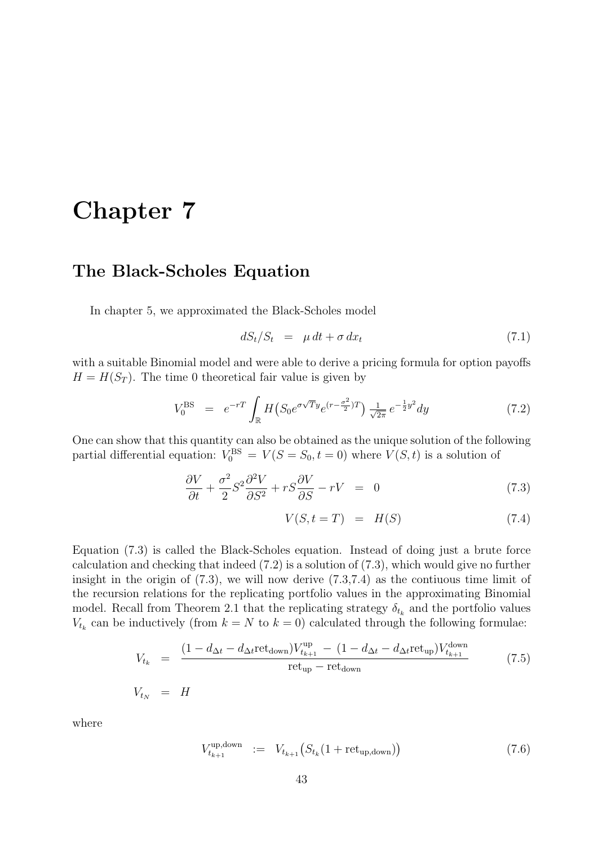# Chapter 7

## The Black-Scholes Equation

In chapter 5, we approximated the Black-Scholes model

$$
dS_t/S_t = \mu dt + \sigma dx_t \tag{7.1}
$$

with a suitable Binomial model and were able to derive a pricing formula for option payoffs  $H = H(S_T)$ . The time 0 theoretical fair value is given by

$$
V_0^{\rm BS} = e^{-rT} \int_{\mathbb{R}} H(S_0 e^{\sigma \sqrt{T} y} e^{(r - \frac{\sigma^2}{2})T}) \frac{1}{\sqrt{2\pi}} e^{-\frac{1}{2}y^2} dy \tag{7.2}
$$

One can show that this quantity can also be obtained as the unique solution of the following partial differential equation:  $V_0^{BS} = V(S = S_0, t = 0)$  where  $V(S, t)$  is a solution of

$$
\frac{\partial V}{\partial t} + \frac{\sigma^2}{2} S^2 \frac{\partial^2 V}{\partial S^2} + rS \frac{\partial V}{\partial S} - rV = 0 \tag{7.3}
$$

$$
V(S, t = T) = H(S) \tag{7.4}
$$

Equation (7.3) is called the Black-Scholes equation. Instead of doing just a brute force calculation and checking that indeed (7.2) is a solution of (7.3), which would give no further insight in the origin of  $(7.3)$ , we will now derive  $(7.3,7.4)$  as the contiuous time limit of the recursion relations for the replicating portfolio values in the approximating Binomial model. Recall from Theorem 2.1 that the replicating strategy  $\delta_{t_k}$  and the portfolio values  $V_{t_k}$  can be inductively (from  $k = N$  to  $k = 0$ ) calculated through the following formulae:

$$
V_{t_k} = \frac{(1 - d_{\Delta t} - d_{\Delta t} \text{ret}_{\text{down}}) V_{t_{k+1}}^{\text{up}} - (1 - d_{\Delta t} - d_{\Delta t} \text{ret}_{\text{up}}) V_{t_{k+1}}^{\text{down}}}{\text{ret}_{\text{up}} - \text{ret}_{\text{down}}}
$$
(7.5)

 $V_{t_N}$  = H

where

$$
V_{t_{k+1}}^{\text{up,down}} := V_{t_{k+1}}(S_{t_k}(1 + \text{ret}_{\text{up,down}}))
$$
\n(7.6)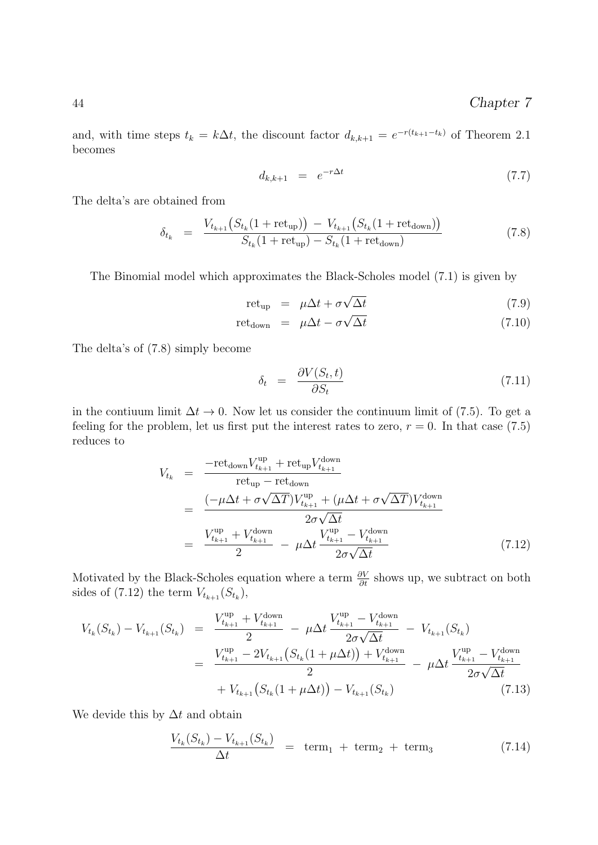and, with time steps  $t_k = k\Delta t$ , the discount factor  $d_{k,k+1} = e^{-r(t_{k+1}-t_k)}$  of Theorem 2.1 becomes

$$
d_{k,k+1} = e^{-r\Delta t} \tag{7.7}
$$

The delta's are obtained from

$$
\delta_{t_k} = \frac{V_{t_{k+1}}(S_{t_k}(1 + \text{ret}_{\text{up}})) - V_{t_{k+1}}(S_{t_k}(1 + \text{ret}_{\text{down}}))}{S_{t_k}(1 + \text{ret}_{\text{up}}) - S_{t_k}(1 + \text{ret}_{\text{down}})}
$$
(7.8)

The Binomial model which approximates the Black-Scholes model (7.1) is given by

$$
retup = \mu \Delta t + \sigma \sqrt{\Delta t}
$$
 (7.9)

$$
retdown = \mu \Delta t - \sigma \sqrt{\Delta t}
$$
 (7.10)

The delta's of (7.8) simply become

$$
\delta_t = \frac{\partial V(S_t, t)}{\partial S_t} \tag{7.11}
$$

in the contiuum limit  $\Delta t \to 0$ . Now let us consider the continuum limit of (7.5). To get a feeling for the problem, let us first put the interest rates to zero,  $r = 0$ . In that case (7.5) reduces to

$$
V_{t_k} = \frac{-ret_{down} V_{t_{k+1}}^{up} + ret_{up} V_{t_{k+1}}^{down}}{ret_{up} - ret_{down}}
$$
  
= 
$$
\frac{(-\mu \Delta t + \sigma \sqrt{\Delta T}) V_{t_{k+1}}^{up} + (\mu \Delta t + \sigma \sqrt{\Delta T}) V_{t_{k+1}}^{down}}{2\sigma \sqrt{\Delta t}}
$$
  
= 
$$
\frac{V_{t_{k+1}}^{up} + V_{t_{k+1}}^{down}}{2} - \mu \Delta t \frac{V_{t_{k+1}}^{up} - V_{t_{k+1}}^{down}}{2\sigma \sqrt{\Delta t}}
$$
(7.12)

Motivated by the Black-Scholes equation where a term  $\frac{\partial V}{\partial t}$  shows up, we subtract on both sides of  $(7.12)$  the term  $V_{t_{k+1}}(S_{t_k}),$ 

$$
V_{t_k}(S_{t_k}) - V_{t_{k+1}}(S_{t_k}) = \frac{V_{t_{k+1}}^{\text{up}} + V_{t_{k+1}}^{\text{down}}}{2} - \mu \Delta t \frac{V_{t_{k+1}}^{\text{up}} - V_{t_{k+1}}^{\text{down}}}{2\sigma\sqrt{\Delta t}} - V_{t_{k+1}}(S_{t_k})
$$
  

$$
= \frac{V_{t_{k+1}}^{\text{up}} - 2V_{t_{k+1}}(S_{t_k}(1 + \mu \Delta t)) + V_{t_{k+1}}^{\text{down}}}{2} - \mu \Delta t \frac{V_{t_{k+1}}^{\text{up}} - V_{t_{k+1}}^{\text{down}}}{2\sigma\sqrt{\Delta t}}
$$
  

$$
+ V_{t_{k+1}}(S_{t_k}(1 + \mu \Delta t)) - V_{t_{k+1}}(S_{t_k}) \qquad (7.13)
$$

We devide this by  $\Delta t$  and obtain

$$
\frac{V_{t_k}(S_{t_k}) - V_{t_{k+1}}(S_{t_k})}{\Delta t} = \text{term}_1 + \text{term}_2 + \text{term}_3 \tag{7.14}
$$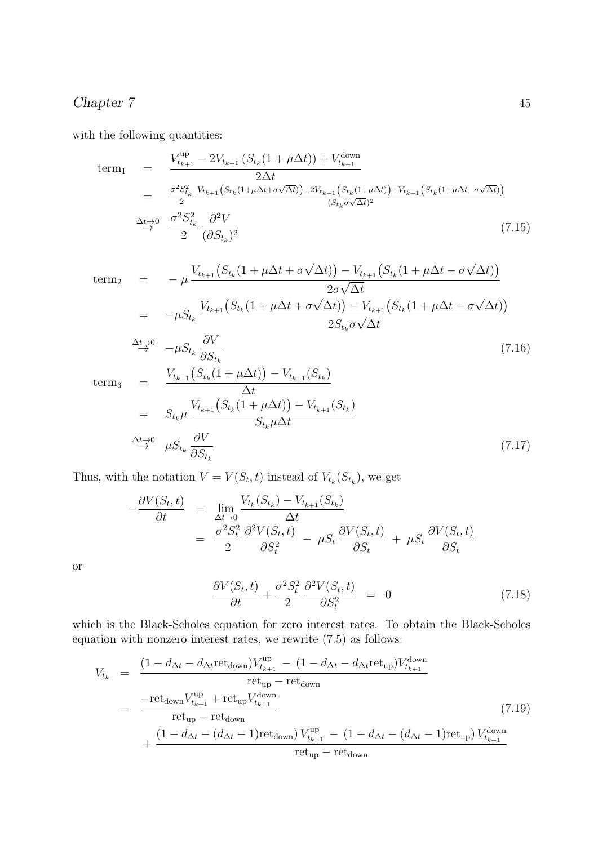## Chapter 7 45

with the following quantities:

term<sub>1</sub> = 
$$
\frac{V_{t_{k+1}}^{\text{up}} - 2V_{t_{k+1}}(S_{t_k}(1 + \mu \Delta t)) + V_{t_{k+1}}^{\text{down}}}{2\Delta t}
$$
  
= 
$$
\frac{\sigma^2 S_{t_k}^2}{2} \frac{V_{t_{k+1}}(S_{t_k}(1 + \mu \Delta t + \sigma \sqrt{\Delta t})) - 2V_{t_{k+1}}(S_{t_k}(1 + \mu \Delta t)) + V_{t_{k+1}}(S_{t_k}(1 + \mu \Delta t - \sigma \sqrt{\Delta t}))}{(S_{t_k} \sigma \sqrt{\Delta t})^2}
$$

$$
\Delta t \rightarrow 0 \frac{\sigma^2 S_{t_k}^2}{2} \frac{\partial^2 V}{(\partial S_{t_k})^2}
$$
(7.15)

term<sub>2</sub> = 
$$
-\mu \frac{V_{t_{k+1}}(S_{t_k}(1 + \mu \Delta t + \sigma \sqrt{\Delta t})) - V_{t_{k+1}}(S_{t_k}(1 + \mu \Delta t - \sigma \sqrt{\Delta t}))}{2\sigma \sqrt{\Delta t}}
$$
  
=  $-\mu S_{t_k} \frac{V_{t_{k+1}}(S_{t_k}(1 + \mu \Delta t + \sigma \sqrt{\Delta t})) - V_{t_{k+1}}(S_{t_k}(1 + \mu \Delta t - \sigma \sqrt{\Delta t}))}{2S_{t_k}\sigma \sqrt{\Delta t}}$ 

$$
\stackrel{\Delta t \to 0}{\rightarrow} -\mu S_{t_k} \frac{\partial V}{\partial S_{t_k}} \tag{7.16}
$$

 $term<sub>3</sub>$ 

$$
= \frac{V_{t_{k+1}}(S_{t_k}(1+\mu\Delta t)) - V_{t_{k+1}}(S_{t_k})}{\Delta t}
$$
  
\n
$$
= S_{t_k}\mu \frac{V_{t_{k+1}}(S_{t_k}(1+\mu\Delta t)) - V_{t_{k+1}}(S_{t_k})}{S_{t_k}\mu\Delta t}
$$
  
\n
$$
\xrightarrow{\Delta t \to 0} \mu S_{t_k} \frac{\partial V}{\partial S_{t_k}}
$$
\n(7.17)

Thus, with the notation  $V = V(S_t, t)$  instead of  $V_{t_k}(S_{t_k})$ , we get

$$
-\frac{\partial V(S_t, t)}{\partial t} = \lim_{\Delta t \to 0} \frac{V_{t_k}(S_{t_k}) - V_{t_{k+1}}(S_{t_k})}{\Delta t}
$$
  
= 
$$
\frac{\sigma^2 S_t^2}{2} \frac{\partial^2 V(S_t, t)}{\partial S_t^2} - \mu S_t \frac{\partial V(S_t, t)}{\partial S_t} + \mu S_t \frac{\partial V(S_t, t)}{\partial S_t}
$$

or

$$
\frac{\partial V(S_t, t)}{\partial t} + \frac{\sigma^2 S_t^2}{2} \frac{\partial^2 V(S_t, t)}{\partial S_t^2} = 0 \tag{7.18}
$$

which is the Black-Scholes equation for zero interest rates. To obtain the Black-Scholes equation with nonzero interest rates, we rewrite (7.5) as follows:

$$
V_{t_k} = \frac{(1 - d_{\Delta t} - d_{\Delta t} \text{ret}_{\text{down}}) V_{t_{k+1}}^{\text{up}} - (1 - d_{\Delta t} - d_{\Delta t} \text{ret}_{\text{up}}) V_{t_{k+1}}^{\text{down}}}{\text{ret}_{\text{up}} - \text{ret}_{\text{down}}}
$$
  
= 
$$
\frac{-\text{ret}_{\text{down}} V_{t_{k+1}}^{\text{up}} + \text{ret}_{\text{up}} V_{t_{k+1}}^{\text{down}}}{\text{ret}_{\text{up}} - \text{ret}_{\text{down}}}
$$
(7.19)  
+ 
$$
\frac{(1 - d_{\Delta t} - (d_{\Delta t} - 1) \text{ret}_{\text{down}}) V_{t_{k+1}}^{\text{up}} - (1 - d_{\Delta t} - (d_{\Delta t} - 1) \text{ret}_{\text{up}}) V_{t_{k+1}}^{\text{down}}}{\text{ret}_{\text{up}} - \text{ret}_{\text{down}}}
$$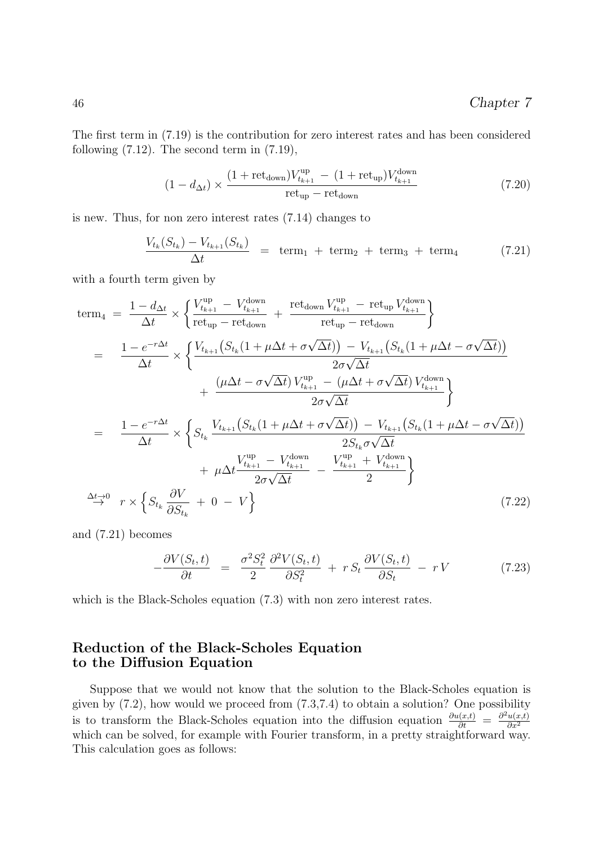The first term in (7.19) is the contribution for zero interest rates and has been considered following  $(7.12)$ . The second term in  $(7.19)$ ,

$$
(1 - d_{\Delta t}) \times \frac{(1 + \text{ret}_{\text{down}})V_{t_{k+1}}^{\text{up}} - (1 + \text{ret}_{\text{up}})V_{t_{k+1}}^{\text{down}}}{\text{ret}_{\text{up}} - \text{ret}_{\text{down}}}
$$
(7.20)

is new. Thus, for non zero interest rates (7.14) changes to

$$
\frac{V_{t_k}(S_{t_k}) - V_{t_{k+1}}(S_{t_k})}{\Delta t} = \text{term}_1 + \text{term}_2 + \text{term}_3 + \text{term}_4 \tag{7.21}
$$

with a fourth term given by

$$
\begin{split}\n\text{term}_{4} &= \frac{1 - d_{\Delta t}}{\Delta t} \times \left\{ \frac{V_{t_{k+1}}^{\text{up}} - V_{t_{k+1}}^{\text{down}}}{\text{ret}_{\text{up}} - \text{ret}_{\text{down}}} + \frac{\text{ret}_{\text{down}} V_{t_{k+1}}^{\text{up}} - \text{ret}_{\text{up}} V_{t_{k+1}}^{\text{down}}}{\text{ret}_{\text{up}} - \text{ret}_{\text{down}}} \right\} \\
&= \frac{1 - e^{-r\Delta t}}{\Delta t} \times \left\{ \frac{V_{t_{k+1}} \left( S_{t_k} (1 + \mu \Delta t + \sigma \sqrt{\Delta t}) \right) - V_{t_{k+1}} \left( S_{t_k} (1 + \mu \Delta t - \sigma \sqrt{\Delta t}) \right)}{2\sigma \sqrt{\Delta t}} \right. \\
&\quad \left. + \frac{\left( \mu \Delta t - \sigma \sqrt{\Delta t} \right) V_{t_{k+1}}^{\text{up}} - \left( \mu \Delta t + \sigma \sqrt{\Delta t} \right) V_{t_{k+1}}^{\text{down}}}{2\sigma \sqrt{\Delta t}} \right\} \\
&= \frac{1 - e^{-r\Delta t}}{\Delta t} \times \left\{ S_{t_k} \frac{V_{t_{k+1}} \left( S_{t_k} (1 + \mu \Delta t + \sigma \sqrt{\Delta t}) \right) - V_{t_{k+1}} \left( S_{t_k} (1 + \mu \Delta t - \sigma \sqrt{\Delta t}) \right)}{2S_{t_k} \sigma \sqrt{\Delta t}} \right. \\
&\quad \left. + \mu \Delta t \frac{V_{t_{k+1}}^{\text{up}} - V_{t_{k+1}}^{\text{down}}}{2\sigma \sqrt{\Delta t}} - \frac{V_{t_{k+1}}^{\text{up}} + V_{t_{k+1}}^{\text{down}}}{2} \right\} \\
\xrightarrow{\Delta t} \quad r \times \left\{ S_{t_k} \frac{\partial V}{\partial S_{t_k}} + 0 - V \right\} \tag{7.22}\n\end{split}
$$

and (7.21) becomes

$$
-\frac{\partial V(S_t, t)}{\partial t} = \frac{\sigma^2 S_t^2}{2} \frac{\partial^2 V(S_t, t)}{\partial S_t^2} + r S_t \frac{\partial V(S_t, t)}{\partial S_t} - r V \qquad (7.23)
$$

which is the Black-Scholes equation  $(7.3)$  with non zero interest rates.

#### Reduction of the Black-Scholes Equation to the Diffusion Equation

Suppose that we would not know that the solution to the Black-Scholes equation is given by  $(7.2)$ , how would we proceed from  $(7.3,7.4)$  to obtain a solution? One possibility is to transform the Black-Scholes equation into the diffusion equation  $\frac{\partial u(x,t)}{\partial t} = \frac{\partial^2 u(x,t)}{\partial x^2}$  $\partial x^2$ which can be solved, for example with Fourier transform, in a pretty straightforward way. This calculation goes as follows: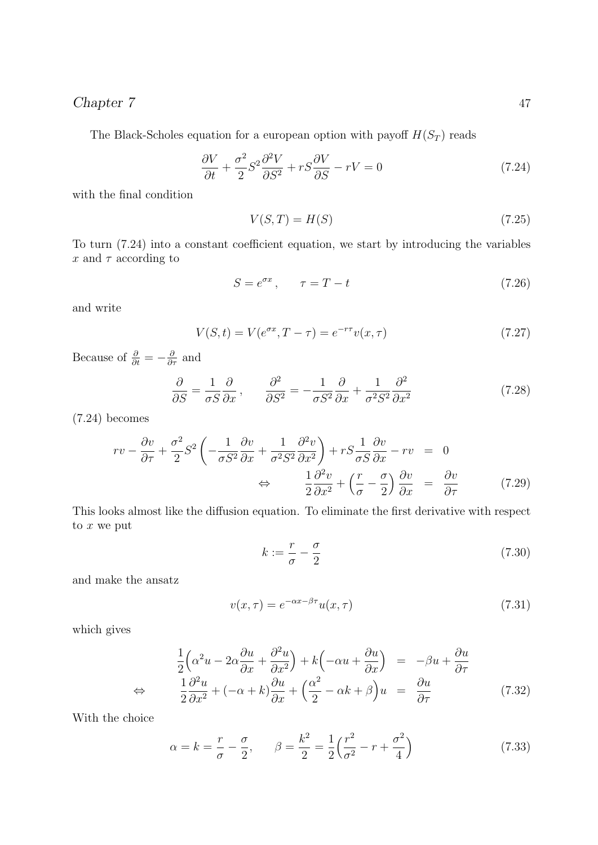#### Chapter 7 47

The Black-Scholes equation for a european option with payoff  $H(S_T)$  reads

$$
\frac{\partial V}{\partial t} + \frac{\sigma^2}{2} S^2 \frac{\partial^2 V}{\partial S^2} + rS \frac{\partial V}{\partial S} - rV = 0 \tag{7.24}
$$

with the final condition

$$
V(S,T) = H(S) \tag{7.25}
$$

To turn (7.24) into a constant coefficient equation, we start by introducing the variables x and  $\tau$  according to

$$
S = e^{\sigma x}, \qquad \tau = T - t \tag{7.26}
$$

and write

$$
V(S,t) = V(e^{\sigma x}, T - \tau) = e^{-r\tau}v(x, \tau)
$$
\n(7.27)

Because of  $\frac{\partial}{\partial t} = -\frac{\partial}{\partial \tau}$  and

$$
\frac{\partial}{\partial S} = \frac{1}{\sigma S} \frac{\partial}{\partial x}, \qquad \frac{\partial^2}{\partial S^2} = -\frac{1}{\sigma S^2} \frac{\partial}{\partial x} + \frac{1}{\sigma^2 S^2} \frac{\partial^2}{\partial x^2}
$$
(7.28)

(7.24) becomes

$$
rv - \frac{\partial v}{\partial \tau} + \frac{\sigma^2}{2} S^2 \left( -\frac{1}{\sigma S^2} \frac{\partial v}{\partial x} + \frac{1}{\sigma^2 S^2} \frac{\partial^2 v}{\partial x^2} \right) + rS \frac{1}{\sigma S} \frac{\partial v}{\partial x} - rv = 0
$$
  

$$
\Leftrightarrow \frac{1}{2} \frac{\partial^2 v}{\partial x^2} + \left( \frac{r}{\sigma} - \frac{\sigma}{2} \right) \frac{\partial v}{\partial x} = \frac{\partial v}{\partial \tau}
$$
(7.29)

This looks almost like the diffusion equation. To eliminate the first derivative with respect to  $\boldsymbol{x}$  we put

$$
k := \frac{r}{\sigma} - \frac{\sigma}{2} \tag{7.30}
$$

and make the ansatz

$$
v(x,\tau) = e^{-\alpha x - \beta \tau} u(x,\tau)
$$
\n(7.31)

which gives

$$
\frac{1}{2} \left( \alpha^2 u - 2\alpha \frac{\partial u}{\partial x} + \frac{\partial^2 u}{\partial x^2} \right) + k \left( -\alpha u + \frac{\partial u}{\partial x} \right) = -\beta u + \frac{\partial u}{\partial \tau}
$$
  
\n
$$
\Leftrightarrow \qquad \frac{1}{2} \frac{\partial^2 u}{\partial x^2} + (-\alpha + k) \frac{\partial u}{\partial x} + \left( \frac{\alpha^2}{2} - \alpha k + \beta \right) u = \frac{\partial u}{\partial \tau}
$$
(7.32)

With the choice

$$
\alpha = k = \frac{r}{\sigma} - \frac{\sigma}{2}, \qquad \beta = \frac{k^2}{2} = \frac{1}{2} \left( \frac{r^2}{\sigma^2} - r + \frac{\sigma^2}{4} \right) \tag{7.33}
$$